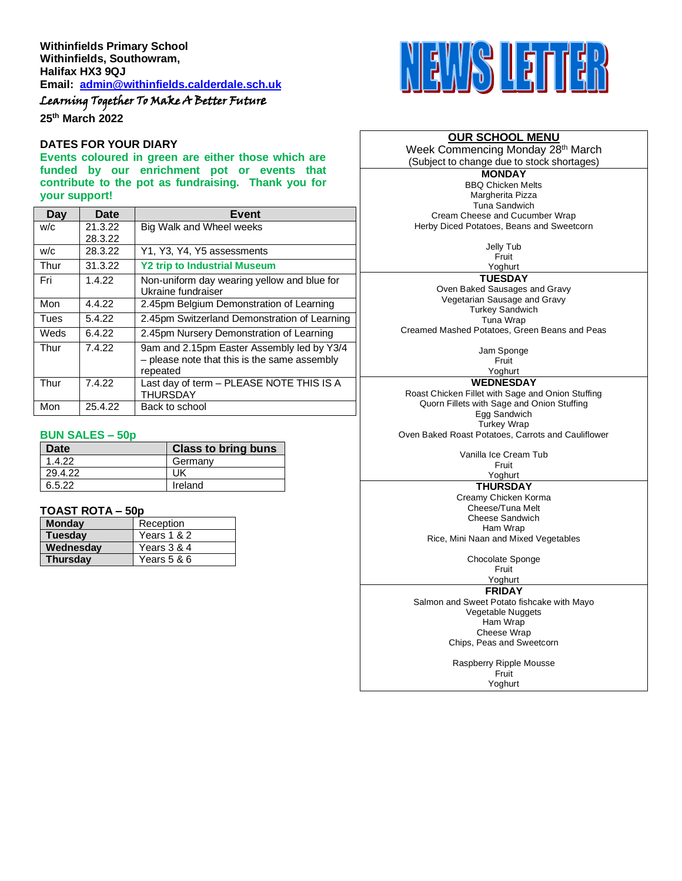# Learning Together To Make A Better Future

**25th March 2022**

#### **DATES FOR YOUR DIARY**

**Events coloured in green are either those which are funded by our enrichment pot or events that contribute to the pot as fundraising. Thank you for your support!**

| Day  | Date    | <b>Event</b>                                                                                           |
|------|---------|--------------------------------------------------------------------------------------------------------|
| W/C  | 21.3.22 | Big Walk and Wheel weeks                                                                               |
|      | 28.3.22 |                                                                                                        |
| w/c  | 28.3.22 | Y1, Y3, Y4, Y5 assessments                                                                             |
| Thur | 31.3.22 | <b>Y2 trip to Industrial Museum</b>                                                                    |
| Fri  | 1.4.22  | Non-uniform day wearing yellow and blue for<br>Ukraine fundraiser                                      |
| Mon  | 4.4.22  | 2.45pm Belgium Demonstration of Learning                                                               |
| Tues | 5.4.22  | 2.45pm Switzerland Demonstration of Learning                                                           |
| Weds | 6.4.22  | 2.45pm Nursery Demonstration of Learning                                                               |
| Thur | 7.4.22  | 9am and 2.15pm Easter Assembly led by Y3/4<br>- please note that this is the same assembly<br>repeated |
| Thur | 7.4.22  | Last day of term - PLEASE NOTE THIS IS A<br><b>THURSDAY</b>                                            |
| Mon  | 25.4.22 | Back to school                                                                                         |

#### **BUN SALES – 50p**

| Date    | <b>Class to bring buns</b> |
|---------|----------------------------|
| 1.4.22  | Germany                    |
| 29.4.22 | UK                         |
| 6.5.22  | Ireland                    |

#### **TOAST ROTA – 50p**

| <b>Monday</b>   | Reception   |
|-----------------|-------------|
| <b>Tuesday</b>  | Years 1 & 2 |
| Wednesdav       | Years 3 & 4 |
| <b>Thursdav</b> | Years 5 & 6 |



### **OUR SCHOOL MENU**

Week Commencing Monday 28<sup>th</sup> March (Subject to change due to stock shortages)

**MONDAY** BBQ Chicken Melts Margherita Pizza Tuna Sandwich Cream Cheese and Cucumber Wrap Herby Diced Potatoes, Beans and Sweetcorn

> Jelly Tub Fruit

Yoghurt **TUESDAY**

Oven Baked Sausages and Gravy Vegetarian Sausage and Gravy Turkey Sandwich Tuna Wrap Creamed Mashed Potatoes, Green Beans and Peas

> Jam Sponge Fruit

Yoghurt **WEDNESDAY**

Roast Chicken Fillet with Sage and Onion Stuffing Quorn Fillets with Sage and Onion Stuffing Egg Sandwich Turkey Wrap Oven Baked Roast Potatoes, Carrots and Cauliflower

> Vanilla Ice Cream Tub Fruit

## Yoghurt

**THURSDAY** Creamy Chicken Korma Cheese/Tuna Melt Cheese Sandwich Ham Wrap

Rice, Mini Naan and Mixed Vegetables

Chocolate Sponge

Fruit Yoghurt

#### **FRIDAY**

Salmon and Sweet Potato fishcake with Mayo Vegetable Nuggets Ham Wrap Cheese Wrap Chips, Peas and Sweetcorn

> Raspberry Ripple Mousse **Fruit** Yoghurt